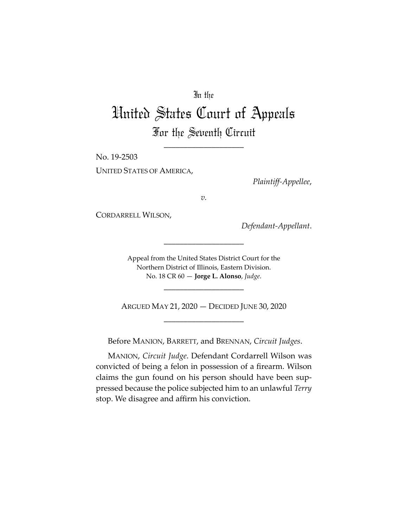# In the

# United States Court of Appeals For the Seventh Circuit

\_\_\_\_\_\_\_\_\_\_\_\_\_\_\_\_\_\_\_\_

No. 19-2503

UNITED STATES OF AMERICA,

*Plaintiff-Appellee*,

*v.*

CORDARRELL WILSON,

*Defendant-Appellant*.

Appeal from the United States District Court for the Northern District of Illinois, Eastern Division. No. 18 CR 60 — **Jorge L. Alonso**, *Judge*.

\_\_\_\_\_\_\_\_\_\_\_\_\_\_\_\_\_\_\_\_

ARGUED MAY 21, 2020 — DECIDED JUNE 30, 2020 \_\_\_\_\_\_\_\_\_\_\_\_\_\_\_\_\_\_\_\_

\_\_\_\_\_\_\_\_\_\_\_\_\_\_\_\_\_\_\_\_

Before MANION, BARRETT, and BRENNAN, *Circuit Judges*.

MANION, *Circuit Judge*. Defendant Cordarrell Wilson was convicted of being a felon in possession of a firearm. Wilson claims the gun found on his person should have been suppressed because the police subjected him to an unlawful *Terry* stop. We disagree and affirm his conviction.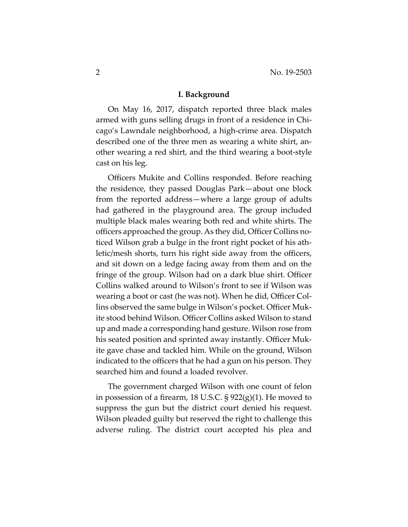#### **I. Background**

On May 16, 2017, dispatch reported three black males armed with guns selling drugs in front of a residence in Chicago's Lawndale neighborhood, a high-crime area. Dispatch described one of the three men as wearing a white shirt, another wearing a red shirt, and the third wearing a boot-style cast on his leg.

Officers Mukite and Collins responded. Before reaching the residence, they passed Douglas Park—about one block from the reported address—where a large group of adults had gathered in the playground area. The group included multiple black males wearing both red and white shirts. The officers approached the group. As they did, Officer Collins noticed Wilson grab a bulge in the front right pocket of his athletic/mesh shorts, turn his right side away from the officers, and sit down on a ledge facing away from them and on the fringe of the group. Wilson had on a dark blue shirt. Officer Collins walked around to Wilson's front to see if Wilson was wearing a boot or cast (he was not). When he did, Officer Collins observed the same bulge in Wilson's pocket. Officer Mukite stood behind Wilson. Officer Collins asked Wilson to stand up and made a corresponding hand gesture. Wilson rose from his seated position and sprinted away instantly. Officer Mukite gave chase and tackled him. While on the ground, Wilson indicated to the officers that he had a gun on his person. They searched him and found a loaded revolver.

The government charged Wilson with one count of felon in possession of a firearm, 18 U.S.C. § 922(g)(1). He moved to suppress the gun but the district court denied his request. Wilson pleaded guilty but reserved the right to challenge this adverse ruling. The district court accepted his plea and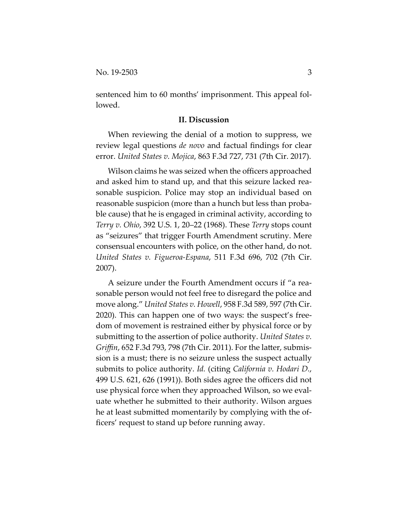sentenced him to 60 months' imprisonment. This appeal followed.

## **II. Discussion**

When reviewing the denial of a motion to suppress, we review legal questions *de novo* and factual findings for clear error. *United States v. Mojica*, 863 F.3d 727, 731 (7th Cir. 2017).

Wilson claims he was seized when the officers approached and asked him to stand up, and that this seizure lacked reasonable suspicion. Police may stop an individual based on reasonable suspicion (more than a hunch but less than probable cause) that he is engaged in criminal activity, according to *Terry v. Ohio*, 392 U.S. 1, 20–22 (1968). These *Terry* stops count as "seizures" that trigger Fourth Amendment scrutiny. Mere consensual encounters with police, on the other hand, do not. *United States v. Figueroa-Espana*, 511 F.3d 696, 702 (7th Cir. 2007).

A seizure under the Fourth Amendment occurs if "a reasonable person would not feel free to disregard the police and move along." *United States v. Howell*, 958 F.3d 589, 597 (7th Cir. 2020). This can happen one of two ways: the suspect's freedom of movement is restrained either by physical force or by submitting to the assertion of police authority. *United States v. Griffin*, 652 F.3d 793, 798 (7th Cir. 2011). For the latter, submission is a must; there is no seizure unless the suspect actually submits to police authority. *Id.* (citing *California v. Hodari D.*, 499 U.S. 621, 626 (1991)). Both sides agree the officers did not use physical force when they approached Wilson, so we evaluate whether he submitted to their authority. Wilson argues he at least submitted momentarily by complying with the officers' request to stand up before running away.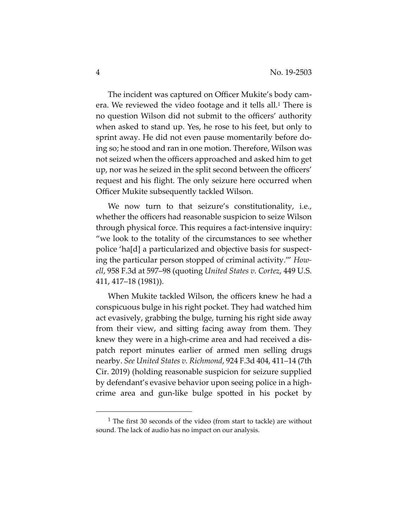The incident was captured on Officer Mukite's body camera. We reviewed the video footage and it tells all.1 There is no question Wilson did not submit to the officers' authority when asked to stand up. Yes, he rose to his feet, but only to sprint away. He did not even pause momentarily before doing so; he stood and ran in one motion. Therefore, Wilson was not seized when the officers approached and asked him to get up, nor was he seized in the split second between the officers' request and his flight. The only seizure here occurred when Officer Mukite subsequently tackled Wilson.

We now turn to that seizure's constitutionality, i.e., whether the officers had reasonable suspicion to seize Wilson through physical force. This requires a fact-intensive inquiry: "we look to the totality of the circumstances to see whether police 'ha[d] a particularized and objective basis for suspecting the particular person stopped of criminal activity.'" *Howell*, 958 F.3d at 597–98 (quoting *United States v. Cortez*, 449 U.S. 411, 417–18 (1981)).

When Mukite tackled Wilson, the officers knew he had a conspicuous bulge in his right pocket. They had watched him act evasively, grabbing the bulge, turning his right side away from their view, and sitting facing away from them. They knew they were in a high-crime area and had received a dispatch report minutes earlier of armed men selling drugs nearby. *See United States v. Richmond*, 924 F.3d 404, 411–14 (7th Cir. 2019) (holding reasonable suspicion for seizure supplied by defendant's evasive behavior upon seeing police in a highcrime area and gun-like bulge spotted in his pocket by

<sup>1</sup> The first 30 seconds of the video (from start to tackle) are without sound. The lack of audio has no impact on our analysis.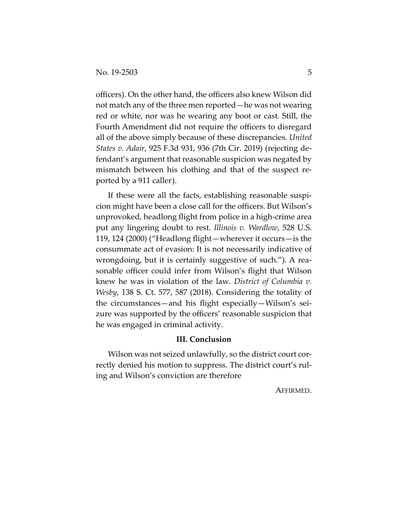officers). On the other hand, the officers also knew Wilson did not match any of the three men reported—he was not wearing red or white, nor was he wearing any boot or cast. Still, the Fourth Amendment did not require the officers to disregard all of the above simply because of these discrepancies. *United States v. Adair*, 925 F.3d 931, 936 (7th Cir. 2019) (rejecting defendant's argument that reasonable suspicion was negated by mismatch between his clothing and that of the suspect reported by a 911 caller).

If these were all the facts, establishing reasonable suspicion might have been a close call for the officers. But Wilson's unprovoked, headlong flight from police in a high-crime area put any lingering doubt to rest. *Illinois v. Wardlow*, 528 U.S. 119, 124 (2000) ("Headlong flight—wherever it occurs—is the consummate act of evasion: It is not necessarily indicative of wrongdoing, but it is certainly suggestive of such."). A reasonable officer could infer from Wilson's flight that Wilson knew he was in violation of the law. *District of Columbia v. Wesby*, 138 S. Ct. 577, 587 (2018). Considering the totality of the circumstances—and his flight especially—Wilson's seizure was supported by the officers' reasonable suspicion that he was engaged in criminal activity.

### **III. Conclusion**

Wilson was not seized unlawfully, so the district court correctly denied his motion to suppress. The district court's ruling and Wilson's conviction are therefore

AFFIRMED.